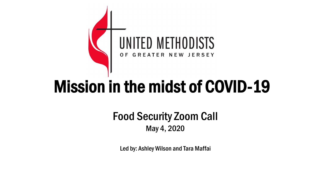

# Mission in the midst of COVID-19

#### Food Security Zoom Call May 4, 2020

Led by: Ashley Wilson and Tara Maffai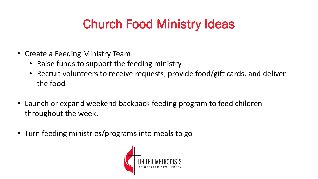### Church Food Ministry Ideas

- Create a Feeding Ministry Team
	- Raise funds to support the feeding ministry
	- Recruit volunteers to receive requests, provide food/gift cards, and deliver the food
- Launch or expand weekend backpack feeding program to feed children throughout the week.
- Turn feeding ministries/programs into meals to go

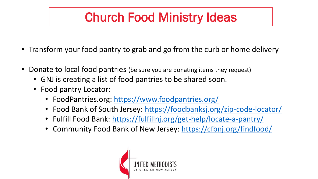## Church Food Ministry Ideas

- Transform your food pantry to grab and go from the curb or home delivery
- Donate to local food pantries (be sure you are donating items they request)
	- GNJ is creating a list of food pantries to be shared soon.
	- Food pantry Locator:
		- FoodPantries.org:<https://www.foodpantries.org/>
		- Food Bank of South Jersey: <https://foodbanksj.org/zip-code-locator/>
		- Fulfill Food Bank: <https://fulfillnj.org/get-help/locate-a-pantry/>
		- Community Food Bank of New Jersey: <https://cfbnj.org/findfood/>

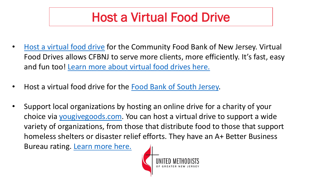### Host a Virtual Food Drive

- [Host a virtual food drive](http://cfbonj.convio.net/site/TR?sid=1010&fr_id=1211&pg=informational) for the Community Food Bank of New Jersey. Virtual Food Drives allows CFBNJ to serve more clients, more efficiently. It's fast, easy and fun too! [Learn more about virtual food drives here.](http://cfbonj.convio.net/site/PageNavigator/pc2_faq.html)
- Host a virtual food drive for the [Food Bank of South Jersey.](https://donate.foodbanksj.org/campaign/virtual-food-drive/c146565)
- Support local organizations by hosting an online drive for a charity of your choice via [yougivegoods.com.](http://yougivegoods.com/) You can host a virtual drive to support a wide variety of organizations, from those that distribute food to those that support homeless shelters or disaster relief efforts. They have an A+ Better Business Bureau rating. [Learn more here.](https://www.youtube.com/watch?time_continue=3&v=gaDaz3l-c5c&feature=emb_title)

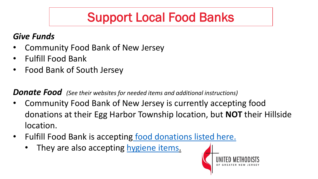## Support Local Food Banks

#### *Give Funds*

- Community Food Bank of New Jersey
- Fulfill Food Bank
- Food Bank of South Jersey

*Donate Food (See their websites for needed items and additional instructions)* 

- Community Food Bank of New Jersey is currently accepting food donations at their Egg Harbor Township location, but **NOT** their Hillside location.
- Fulfill Food Bank is accepting [food donations listed here.](https://fulfillnj.org/coronavirus-covid-19-updates/)
	- They are also accepting [hygiene items](https://fulfillnj.org/collection-drive-as-part-of-fulfills-coronavirus-preparedness-plan/).

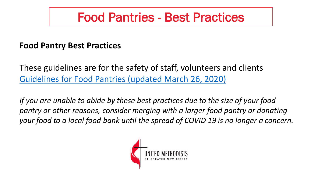### Food Pantries - Best Practices

#### **Food Pantry Best Practices**

These guidelines are for the safety of staff, volunteers and clients [Guidelines for Food Pantries \(updated March 26, 2020\)](https://www.gnjumc.org/resource/food-pantry-guidelines-3-36-20-update/)

*If you are unable to abide by these best practices due to the size of your food pantry or other reasons, consider merging with a larger food pantry or donating your food to a local food bank until the spread of COVID 19 is no longer a concern.*

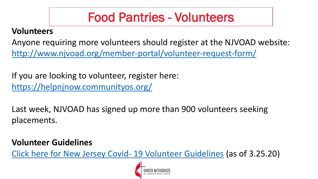### Food Pantries - Volunteers

#### **Volunteers**

Anyone requiring more volunteers should register at the NJVOAD website: <http://www.njvoad.org/member-portal/volunteer-request-form/>

If you are looking to volunteer, register here: <https://helpnjnow.communityos.org/>

Last week, NJVOAD has signed up more than 900 volunteers seeking placements.

#### **Volunteer Guidelines**

[Click here for New Jersey Covid-](https://www.gnjumc.org/content/uploads/2020/03/New-Jersey-Covid-19-Volunteer-Guidelines-as-of-3.25.20.pdf) 19 Volunteer Guidelines (as of 3.25.20)

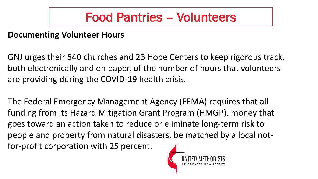### Food Pantries – Volunteers

#### **Documenting Volunteer Hours**

GNJ urges their 540 churches and 23 Hope Centers to keep rigorous track, both electronically and on paper, of the number of hours that volunteers are providing during the COVID-19 health crisis.

The Federal Emergency Management Agency (FEMA) requires that all funding from its Hazard Mitigation Grant Program (HMGP), money that goes toward an action taken to reduce or eliminate long-term risk to people and property from natural disasters, be matched by a local notfor-profit corporation with 25 percent.

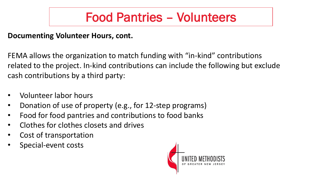### Food Pantries – Volunteers

#### **Documenting Volunteer Hours, cont.**

FEMA allows the organization to match funding with "in-kind" contributions related to the project. In-kind contributions can include the following but exclude cash contributions by a third party:

- Volunteer labor hours
- Donation of use of property (e.g., for 12-step programs)
- Food for food pantries and contributions to food banks
- Clothes for clothes closets and drives
- Cost of transportation
- Special-event costs

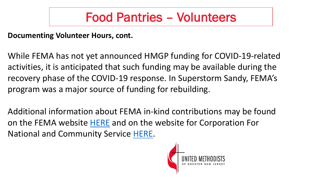### Food Pantries – Volunteers

#### **Documenting Volunteer Hours, cont.**

While FEMA has not yet announced HMGP funding for COVID-19-related activities, it is anticipated that such funding may be available during the recovery phase of the COVID-19 response. In Superstorm Sandy, FEMA's program was a major source of funding for rebuilding.

Additional information about FEMA in-kind contributions may be found on the FEMA website [HERE](https://www.fema.gov/media-library-data/20130726-1758-25045-4813/inkind_contribution.pdf) and on the website for Corporation For National and Community Service [HERE](https://www.nationalservice.gov/sites/default/files/olc/moodle/fm_key_concepts_of_fgm/viewf2af.html?id=3201&chapterid=2028).

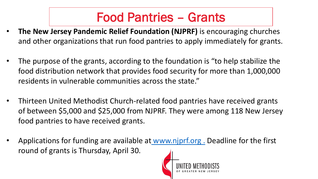### Food Pantries – Grants

- **The New Jersey Pandemic Relief Foundation (NJPRF)** is encouraging churches and other organizations that run food pantries to apply immediately for grants.
- The purpose of the grants, according to the foundation is "to help stabilize the food distribution network that provides food security for more than 1,000,000 residents in vulnerable communities across the state."
- Thirteen United Methodist Church-related food pantries have received grants of between \$5,000 and \$25,000 from NJPRF. They were among 118 New Jersey food pantries to have received grants.
- Applications for funding are available at www.njprf.org. Deadline for the first round of grants is Thursday, April 30.

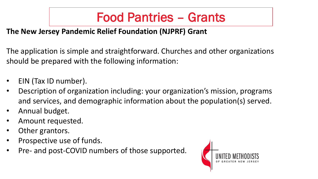### Food Pantries – Grants

#### **The New Jersey Pandemic Relief Foundation (NJPRF) Grant**

The application is simple and straightforward. Churches and other organizations should be prepared with the following information:

- EIN (Tax ID number).
- Description of organization including: your organization's mission, programs and services, and demographic information about the population(s) served.
- Annual budget.
- Amount requested.
- Other grantors.
- Prospective use of funds.
- Pre- and post-COVID numbers of those supported.

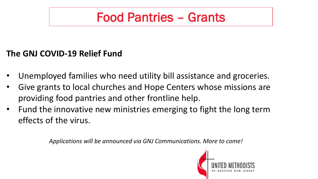### Food Pantries – Grants

#### **The GNJ COVID-19 Relief Fund**

- Unemployed families who need utility bill assistance and groceries.
- Give grants to local churches and Hope Centers whose missions are providing food pantries and other frontline help.
- Fund the innovative new ministries emerging to fight the long term effects of the virus.

*Applications will be announced via GNJ Communications. More to come!* 

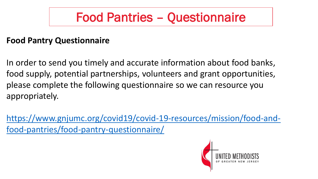### Food Pantries – Questionnaire

#### **Food Pantry Questionnaire**

In order to send you timely and accurate information about food banks, food supply, potential partnerships, volunteers and grant opportunities, please complete the following questionnaire so we can resource you appropriately.

[https://www.gnjumc.org/covid19/covid-19-resources/mission/food-and](https://www.gnjumc.org/covid19/covid-19-resources/mission/food-and-food-pantries/food-pantry-questionnaire/)food-pantries/food-pantry-questionnaire/